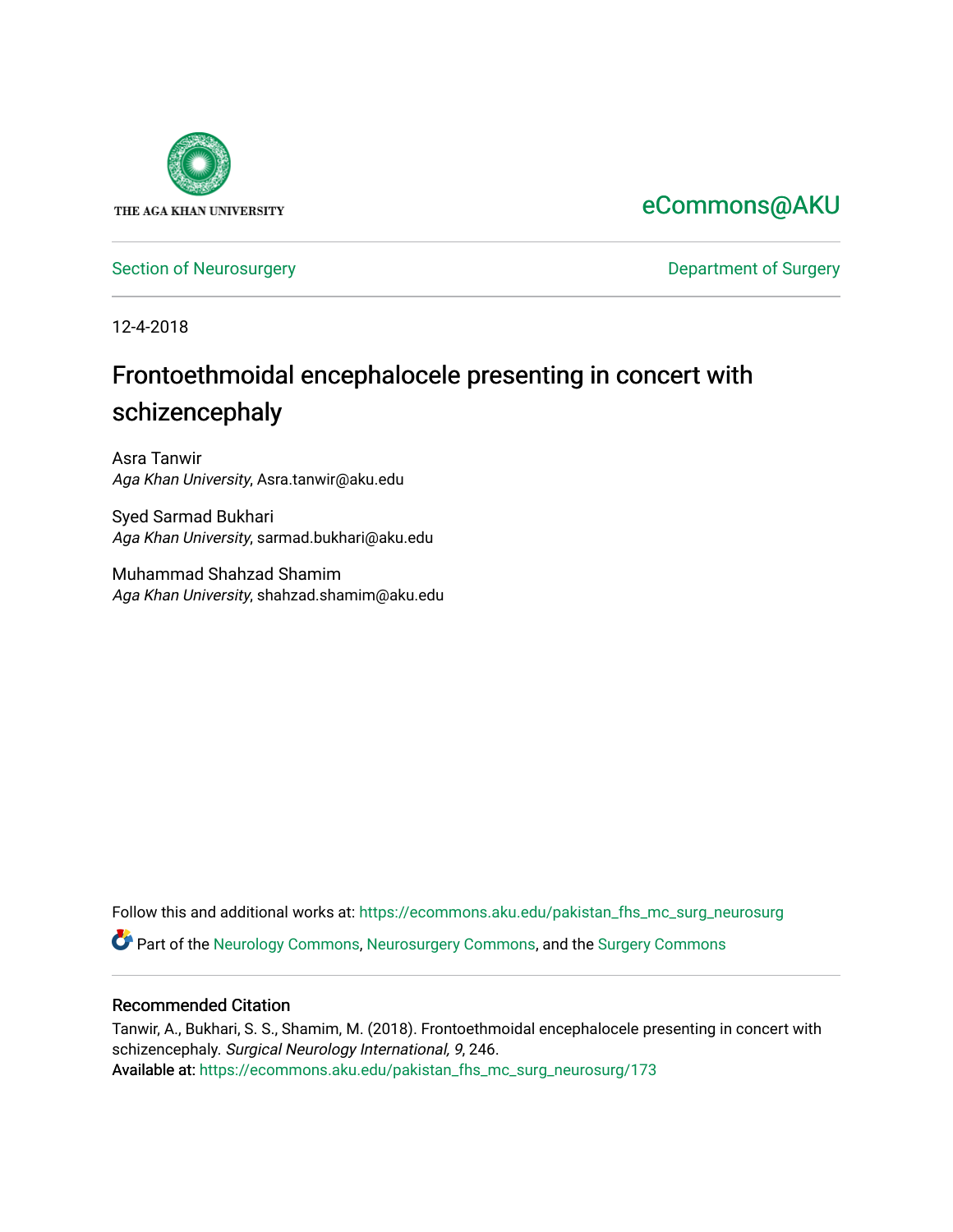

# [eCommons@AKU](https://ecommons.aku.edu/)

[Section of Neurosurgery](https://ecommons.aku.edu/pakistan_fhs_mc_surg_neurosurg) **Department of Surgery** Department of Surgery

12-4-2018

# Frontoethmoidal encephalocele presenting in concert with schizencephaly

Asra Tanwir Aga Khan University, Asra.tanwir@aku.edu

Syed Sarmad Bukhari Aga Khan University, sarmad.bukhari@aku.edu

Muhammad Shahzad Shamim Aga Khan University, shahzad.shamim@aku.edu

Follow this and additional works at: [https://ecommons.aku.edu/pakistan\\_fhs\\_mc\\_surg\\_neurosurg](https://ecommons.aku.edu/pakistan_fhs_mc_surg_neurosurg?utm_source=ecommons.aku.edu%2Fpakistan_fhs_mc_surg_neurosurg%2F173&utm_medium=PDF&utm_campaign=PDFCoverPages) 

Part of the [Neurology Commons](http://network.bepress.com/hgg/discipline/692?utm_source=ecommons.aku.edu%2Fpakistan_fhs_mc_surg_neurosurg%2F173&utm_medium=PDF&utm_campaign=PDFCoverPages), [Neurosurgery Commons](http://network.bepress.com/hgg/discipline/1428?utm_source=ecommons.aku.edu%2Fpakistan_fhs_mc_surg_neurosurg%2F173&utm_medium=PDF&utm_campaign=PDFCoverPages), and the [Surgery Commons](http://network.bepress.com/hgg/discipline/706?utm_source=ecommons.aku.edu%2Fpakistan_fhs_mc_surg_neurosurg%2F173&utm_medium=PDF&utm_campaign=PDFCoverPages) 

#### Recommended Citation

Tanwir, A., Bukhari, S. S., Shamim, M. (2018). Frontoethmoidal encephalocele presenting in concert with schizencephaly. Surgical Neurology International, 9, 246. Available at: [https://ecommons.aku.edu/pakistan\\_fhs\\_mc\\_surg\\_neurosurg/173](https://ecommons.aku.edu/pakistan_fhs_mc_surg_neurosurg/173)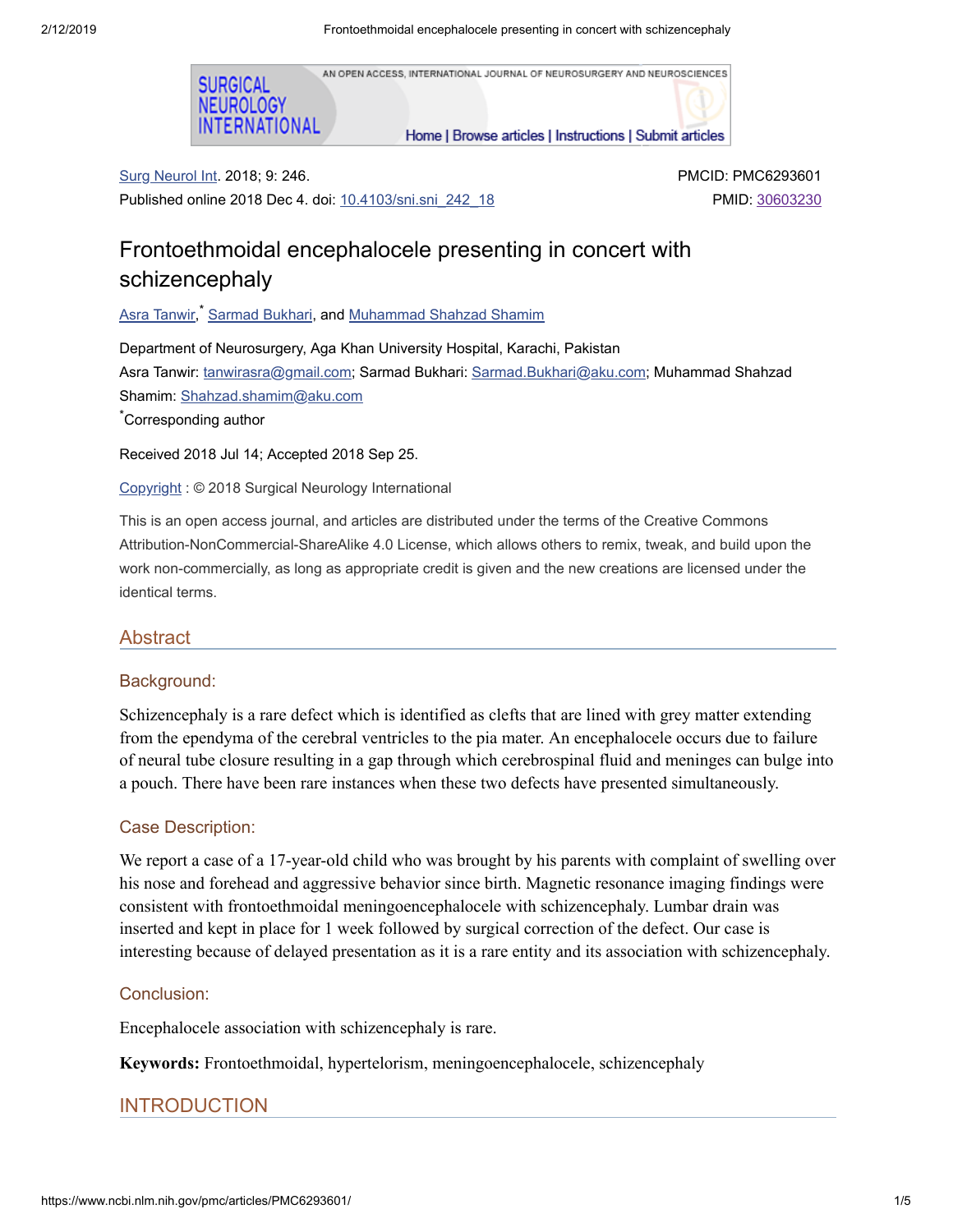AN OPEN ACCESS, INTERNATIONAL JOURNAL OF NEUROSURGERY AND NEUROSCIENCES



Home | Browse articles | Instructions | Submit articles

Surg Neurol Int. 2018; 9: 246. Published online 2018 Dec 4. doi: [10.4103/sni.sni\\_242\\_18](https://dx.doi.org/10.4103%2Fsni.sni_242_18) PMCID: PMC6293601 PMID: [30603230](https://www.ncbi.nlm.nih.gov/pubmed/30603230)

# Frontoethmoidal encephalocele presenting in concert with schizencephaly

Asra [Tanwir](https://www.ncbi.nlm.nih.gov/pubmed/?term=Tanwir%20A%5BAuthor%5D&cauthor=true&cauthor_uid=30603230), [Sarmad](https://www.ncbi.nlm.nih.gov/pubmed/?term=Bukhari%20S%5BAuthor%5D&cauthor=true&cauthor_uid=30603230) Bukhari, and <u>[Muhammad](https://www.ncbi.nlm.nih.gov/pubmed/?term=Shamim%20MS%5BAuthor%5D&cauthor=true&cauthor_uid=30603230) Shahzad Shamim</u>

Department of Neurosurgery, Aga Khan University Hospital, Karachi, Pakistan Asra Tanwir: [tanwirasra@gmail.com;](mailto:dev@null) Sarmad Bukhari: [Sarmad.Bukhari@aku.com](mailto:dev@null); Muhammad Shahzad Shamim: [Shahzad.shamim@aku.com](mailto:dev@null)

Corresponding author \*

Received 2018 Jul 14; Accepted 2018 Sep 25.

[Copyright](https://www.ncbi.nlm.nih.gov/pmc/about/copyright/) : © 2018 Surgical Neurology International

This is an open access journal, and articles are distributed under the terms of the Creative Commons Attribution-NonCommercial-ShareAlike 4.0 License, which allows others to remix, tweak, and build upon the work non-commercially, as long as appropriate credit is given and the new creations are licensed under the identical terms.

#### Abstract

#### Background:

Schizencephaly is a rare defect which is identified as clefts that are lined with grey matter extending from the ependyma of the cerebral ventricles to the pia mater. An encephalocele occurs due to failure of neural tube closure resulting in a gap through which cerebrospinal fluid and meninges can bulge into a pouch. There have been rare instances when these two defects have presented simultaneously.

#### Case Description:

We report a case of a 17-year-old child who was brought by his parents with complaint of swelling over his nose and forehead and aggressive behavior since birth. Magnetic resonance imaging findings were consistent with frontoethmoidal meningoencephalocele with schizencephaly. Lumbar drain was inserted and kept in place for 1 week followed by surgical correction of the defect. Our case is interesting because of delayed presentation as it is a rare entity and its association with schizencephaly.

#### Conclusion:

Encephalocele association with schizencephaly is rare.

**Keywords:** Frontoethmoidal, hypertelorism, meningoencephalocele, schizencephaly

#### INTRODUCTION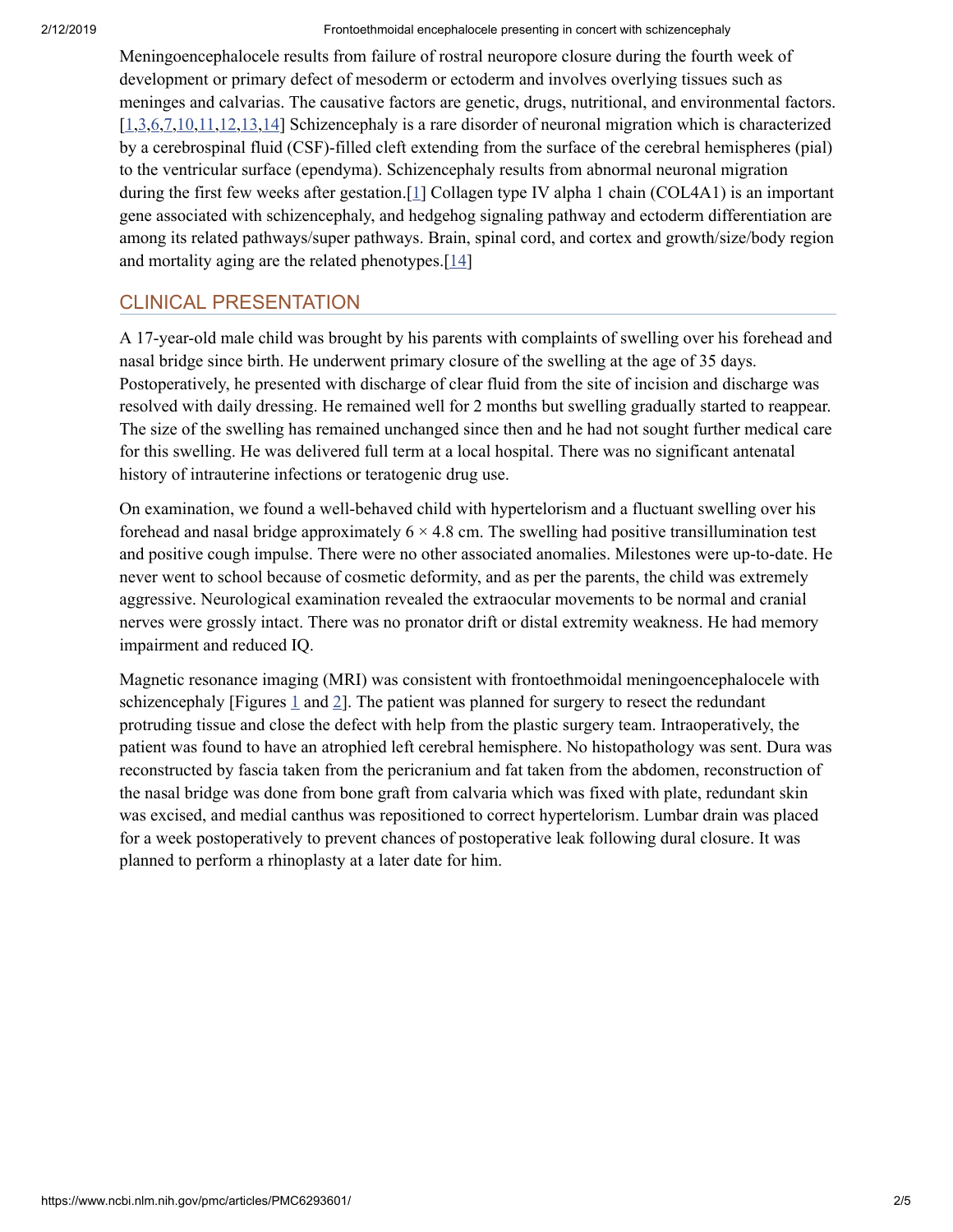2/12/2019 Frontoethmoidal encephalocele presenting in concert with schizencephaly

Meningoencephalocele results from failure of rostral neuropore closure during the fourth week of development or primary defect of mesoderm or ectoderm and involves overlying tissues such as meninges and calvarias. The causative factors are genetic, drugs, nutritional, and environmental factors.  $[1,3,6,7,10,11,12,13,14]$  $[1,3,6,7,10,11,12,13,14]$  $[1,3,6,7,10,11,12,13,14]$  $[1,3,6,7,10,11,12,13,14]$  $[1,3,6,7,10,11,12,13,14]$  $[1,3,6,7,10,11,12,13,14]$  $[1,3,6,7,10,11,12,13,14]$  $[1,3,6,7,10,11,12,13,14]$  $[1,3,6,7,10,11,12,13,14]$  $[1,3,6,7,10,11,12,13,14]$  Schizencephaly is a rare disorder of neuronal migration which is characterized by a cerebrospinal fluid (CSF)-filled cleft extending from the surface of the cerebral hemispheres (pial) to the ventricular surface (ependyma). Schizencephaly results from abnormal neuronal migration during the first few weeks after gestation.<sup>[[1](#page-5-0)]</sup> Collagen type IV alpha 1 chain (COL4A1) is an important gene associated with schizencephaly, and hedgehog signaling pathway and ectoderm differentiation are among its related pathways/super pathways. Brain, spinal cord, and cortex and growth/size/body region and mortality aging are the related phenotypes.[[14](#page-5-8)]

# CLINICAL PRESENTATION

A 17-year-old male child was brought by his parents with complaints of swelling over his forehead and nasal bridge since birth. He underwent primary closure of the swelling at the age of 35 days. Postoperatively, he presented with discharge of clear fluid from the site of incision and discharge was resolved with daily dressing. He remained well for 2 months but swelling gradually started to reappear. The size of the swelling has remained unchanged since then and he had not sought further medical care for this swelling. He was delivered full term at a local hospital. There was no significant antenatal history of intrauterine infections or teratogenic drug use.

On examination, we found a well-behaved child with hypertelorism and a fluctuant swelling over his forehead and nasal bridge approximately  $6 \times 4.8$  cm. The swelling had positive transillumination test and positive cough impulse. There were no other associated anomalies. Milestones were up-to-date. He never went to school because of cosmetic deformity, and as per the parents, the child was extremely aggressive. Neurological examination revealed the extraocular movements to be normal and cranial nerves were grossly intact. There was no pronator drift or distal extremity weakness. He had memory impairment and reduced IQ.

Magnetic resonance imaging (MRI) was consistent with frontoethmoidal meningoencephalocele with schizencephaly [Figures  $1$  and  $2$ ]. The patient was planned for surgery to resect the redundant protruding tissue and close the defect with help from the plastic surgery team. Intraoperatively, the patient was found to have an atrophied left cerebral hemisphere. No histopathology was sent. Dura was reconstructed by fascia taken from the pericranium and fat taken from the abdomen, reconstruction of the nasal bridge was done from bone graft from calvaria which was fixed with plate, redundant skin was excised, and medial canthus was repositioned to correct hypertelorism. Lumbar drain was placed for a week postoperatively to prevent chances of postoperative leak following dural closure. It was planned to perform a rhinoplasty at a later date for him.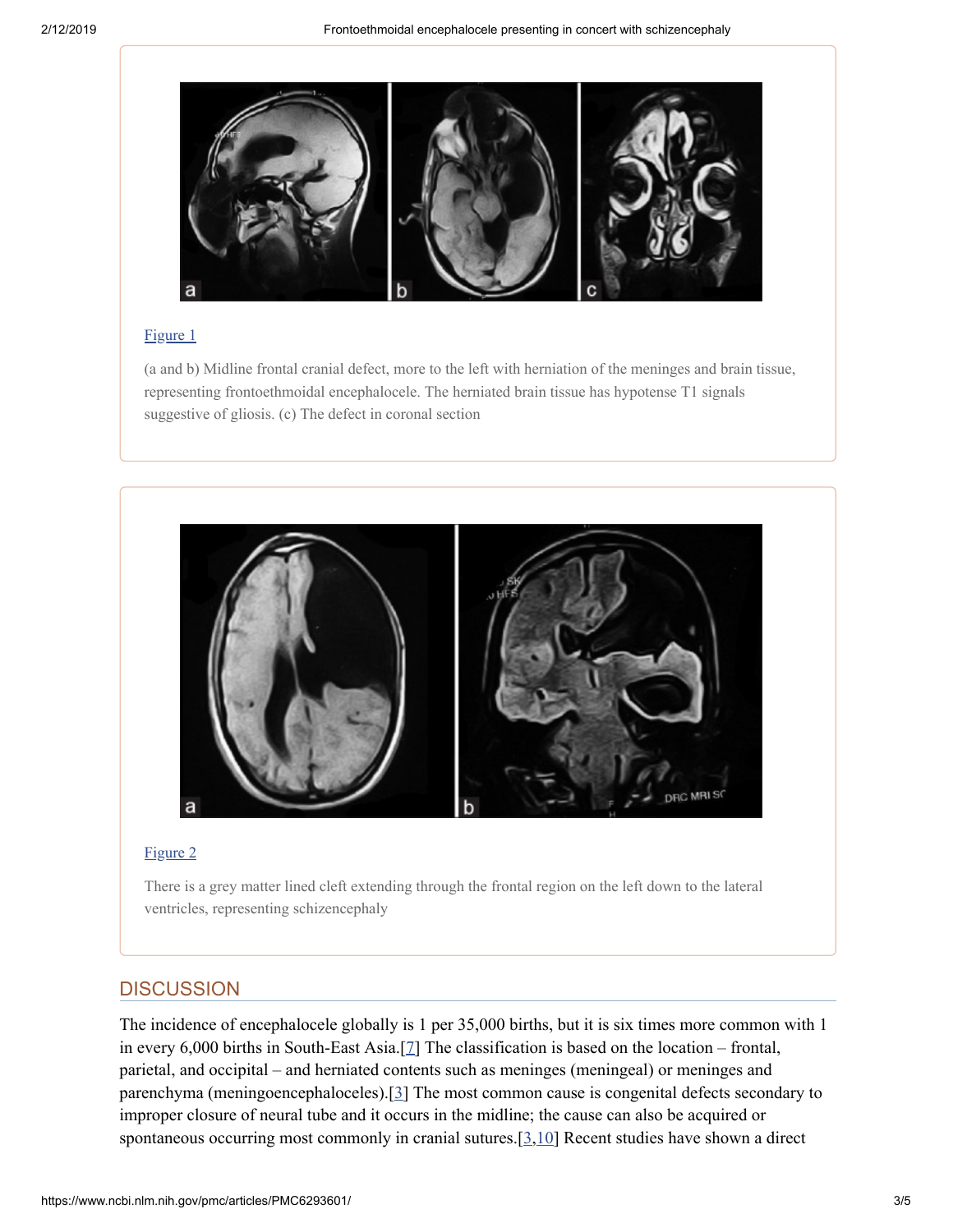

#### [Figure](https://www.ncbi.nlm.nih.gov/pmc/articles/PMC6293601/figure/F1/) 1

(a and b) Midline frontal cranial defect, more to the left with herniation of the meninges and brain tissue, representing frontoethmoidal encephalocele. The herniated brain tissue has hypotense T1 signals suggestive of gliosis. (c) The defect in coronal section



#### [Figure](https://www.ncbi.nlm.nih.gov/pmc/articles/PMC6293601/figure/F2/) 2

There is a grey matter lined cleft extending through the frontal region on the left down to the lateral ventricles, representing schizencephaly

#### **DISCUSSION**

The incidence of encephalocele globally is 1 per 35,000 births, but it is six times more common with 1 in every 6,000 births in South-East Asia.[[7](#page-5-3)] The classification is based on the location – frontal, parietal, and occipital – and herniated contents such as meninges (meningeal) or meninges and parenchyma (meningoencephaloceles).[[3](#page-5-1)] The most common cause is congenital defects secondary to improper closure of neural tube and it occurs in the midline; the cause can also be acquired or spontaneous occurring most commonly in cranial sutures.[\[3,](#page-5-1)[10\]](#page-5-4) Recent studies have shown a direct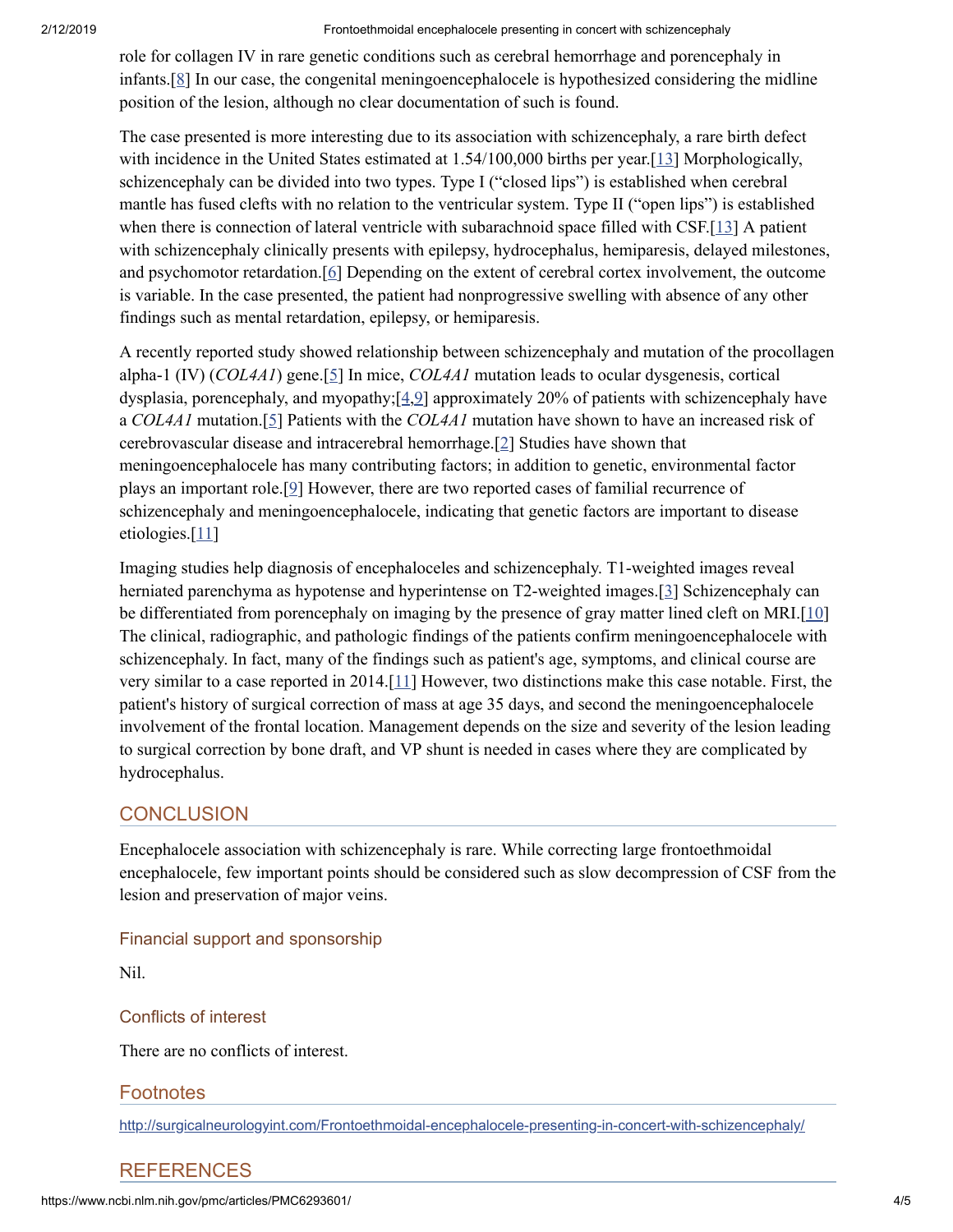#### 2/12/2019 Frontoethmoidal encephalocele presenting in concert with schizencephaly

role for collagen IV in rare genetic conditions such as cerebral hemorrhage and porencephaly in infants.[[8\]](#page-5-9) In our case, the congenital meningoencephalocele is hypothesized considering the midline position of the lesion, although no clear documentation of such is found.

The case presented is more interesting due to its association with schizencephaly, a rare birth defect with incidence in the United States estimated at 1.54/100,000 births per year.<sup>[[13\]](#page-5-7)</sup> Morphologically, schizencephaly can be divided into two types. Type I ("closed lips") is established when cerebral mantle has fused clefts with no relation to the ventricular system. Type II ("open lips") is established when there is connection of lateral ventricle with subarachnoid space filled with CSF.[[13](#page-5-7)] A patient with schizencephaly clinically presents with epilepsy, hydrocephalus, hemiparesis, delayed milestones, and psychomotor retardation.[[6](#page-5-2)] Depending on the extent of cerebral cortex involvement, the outcome is variable. In the case presented, the patient had nonprogressive swelling with absence of any other findings such as mental retardation, epilepsy, or hemiparesis.

A recently reported study showed relationship between schizencephaly and mutation of the procollagen alpha-1 (IV) (*COL4A1*) gene.[\[5](#page-5-10)] In mice, *COL4A1* mutation leads to ocular dysgenesis, cortical dysplasia, porencephaly, and myopathy; $[4,9]$  $[4,9]$  approximately 20% of patients with schizencephaly have a *COL4A1* mutation.[[5](#page-5-10)] Patients with the *COL4A1* mutation have shown to have an increased risk of cerebrovascular disease and intracerebral hemorrhage.[[2](#page-5-13)] Studies have shown that meningoencephalocele has many contributing factors; in addition to genetic, environmental factor plays an important role.[[9](#page-5-12)] However, there are two reported cases of familial recurrence of schizencephaly and meningoencephalocele, indicating that genetic factors are important to disease etiologies.[\[11\]](#page-5-5)

Imaging studies help diagnosis of encephaloceles and schizencephaly. T1-weighted images reveal herniated parenchyma as hypotense and hyperintense on T2-weighted images.[[3\]](#page-5-1) Schizencephaly can be differentiated from porencephaly on imaging by the presence of gray matter lined cleft on MRI.[\[10](#page-5-4)] The clinical, radiographic, and pathologic findings of the patients confirm meningoencephalocele with schizencephaly. In fact, many of the findings such as patient's age, symptoms, and clinical course are very similar to a case reported in 2014.[[11](#page-5-5)] However, two distinctions make this case notable. First, the patient's history of surgical correction of mass at age 35 days, and second the meningoencephalocele involvement of the frontal location. Management depends on the size and severity of the lesion leading to surgical correction by bone draft, and VP shunt is needed in cases where they are complicated by hydrocephalus.

# **CONCLUSION**

Encephalocele association with schizencephaly is rare. While correcting large frontoethmoidal encephalocele, few important points should be considered such as slow decompression of CSF from the lesion and preservation of major veins.

#### Financial support and sponsorship

Nil.

### Conflicts of interest

There are no conflicts of interest.

### **Footnotes**

<http://surgicalneurologyint.com/Frontoethmoidal-encephalocele-presenting-in-concert-with-schizencephaly/>

# REFERENCES